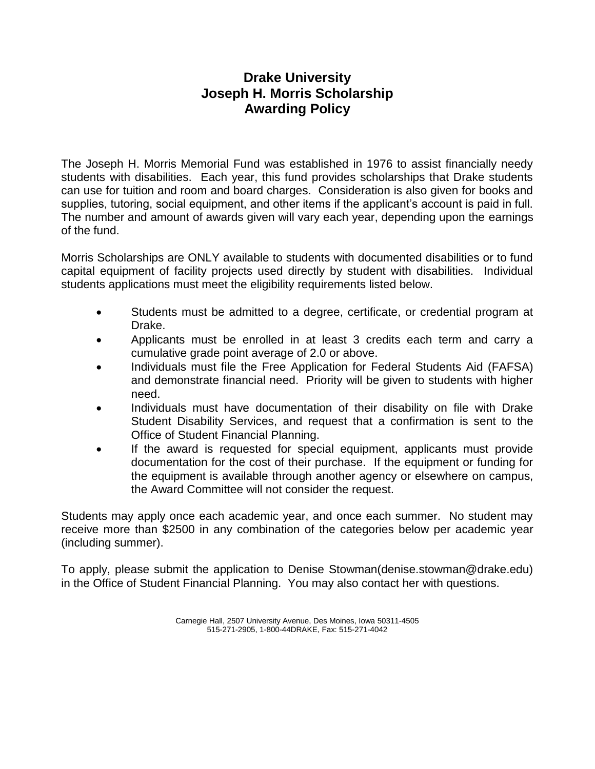## **Drake University Joseph H. Morris Scholarship Awarding Policy**

The Joseph H. Morris Memorial Fund was established in 1976 to assist financially needy students with disabilities. Each year, this fund provides scholarships that Drake students can use for tuition and room and board charges. Consideration is also given for books and supplies, tutoring, social equipment, and other items if the applicant's account is paid in full. The number and amount of awards given will vary each year, depending upon the earnings of the fund.

Morris Scholarships are ONLY available to students with documented disabilities or to fund capital equipment of facility projects used directly by student with disabilities. Individual students applications must meet the eligibility requirements listed below.

- Students must be admitted to a degree, certificate, or credential program at Drake.
- Applicants must be enrolled in at least 3 credits each term and carry a cumulative grade point average of 2.0 or above.
- Individuals must file the Free Application for Federal Students Aid (FAFSA) and demonstrate financial need. Priority will be given to students with higher need.
- Individuals must have documentation of their disability on file with Drake Student Disability Services, and request that a confirmation is sent to the Office of Student Financial Planning.
- If the award is requested for special equipment, applicants must provide documentation for the cost of their purchase. If the equipment or funding for the equipment is available through another agency or elsewhere on campus, the Award Committee will not consider the request.

Students may apply once each academic year, and once each summer. No student may receive more than \$2500 in any combination of the categories below per academic year (including summer).

To apply, please submit the application to Denise Stowman(denise.stowman@drake.edu) in the Office of Student Financial Planning. You may also contact her with questions.